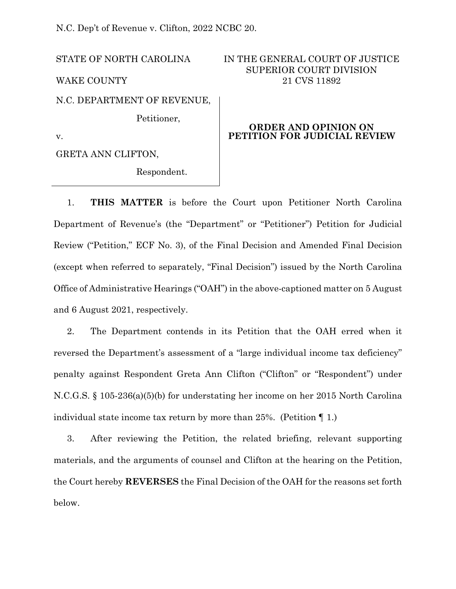N.C. Dep't of Revenue v. Clifton, 2022 NCBC 20.

STATE OF NORTH CAROLINA

WAKE COUNTY

N.C. DEPARTMENT OF REVENUE,

Petitioner,

v.

GRETA ANN CLIFTON,

Respondent.

# IN THE GENERAL COURT OF JUSTICE SUPERIOR COURT DIVISION 21 CVS 11892

## **ORDER AND OPINION ON PETITION FOR JUDICIAL REVIEW**

1. **THIS MATTER** is before the Court upon Petitioner North Carolina Department of Revenue's (the "Department" or "Petitioner") Petition for Judicial Review ("Petition," ECF No. 3), of the Final Decision and Amended Final Decision (except when referred to separately, "Final Decision") issued by the North Carolina Office of Administrative Hearings ("OAH") in the above-captioned matter on 5 August and 6 August 2021, respectively.

2. The Department contends in its Petition that the OAH erred when it reversed the Department's assessment of a "large individual income tax deficiency" penalty against Respondent Greta Ann Clifton ("Clifton" or "Respondent") under N.C.G.S. § 105-236(a)(5)(b) for understating her income on her 2015 North Carolina individual state income tax return by more than 25%. (Petition ¶ 1.)

3. After reviewing the Petition, the related briefing, relevant supporting materials, and the arguments of counsel and Clifton at the hearing on the Petition, the Court hereby **REVERSES** the Final Decision of the OAH for the reasons set forth below.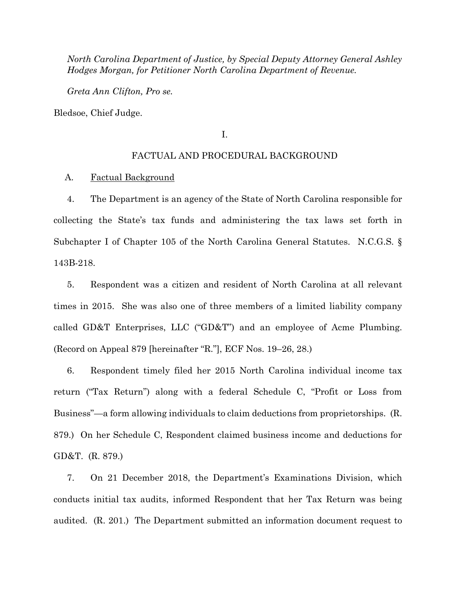*North Carolina Department of Justice, by Special Deputy Attorney General Ashley Hodges Morgan, for Petitioner North Carolina Department of Revenue.*

*Greta Ann Clifton, Pro se.*

Bledsoe, Chief Judge.

I.

#### FACTUAL AND PROCEDURAL BACKGROUND

#### A. Factual Background

4. The Department is an agency of the State of North Carolina responsible for collecting the State's tax funds and administering the tax laws set forth in Subchapter I of Chapter 105 of the North Carolina General Statutes. N.C.G.S. § 143B-218.

5. Respondent was a citizen and resident of North Carolina at all relevant times in 2015. She was also one of three members of a limited liability company called GD&T Enterprises, LLC ("GD&T") and an employee of Acme Plumbing. (Record on Appeal 879 [hereinafter "R."], ECF Nos. 19–26, 28.)

6. Respondent timely filed her 2015 North Carolina individual income tax return ("Tax Return") along with a federal Schedule C, "Profit or Loss from Business"—a form allowing individuals to claim deductions from proprietorships. (R. 879.) On her Schedule C, Respondent claimed business income and deductions for GD&T. (R. 879.)

7. On 21 December 2018, the Department's Examinations Division, which conducts initial tax audits, informed Respondent that her Tax Return was being audited. (R. 201.) The Department submitted an information document request to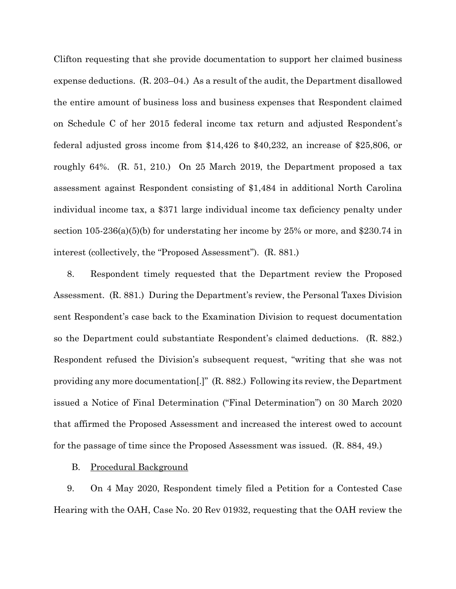Clifton requesting that she provide documentation to support her claimed business expense deductions. (R. 203–04.) As a result of the audit, the Department disallowed the entire amount of business loss and business expenses that Respondent claimed on Schedule C of her 2015 federal income tax return and adjusted Respondent's federal adjusted gross income from \$14,426 to \$40,232, an increase of \$25,806, or roughly 64%. (R. 51, 210.) On 25 March 2019, the Department proposed a tax assessment against Respondent consisting of \$1,484 in additional North Carolina individual income tax, a \$371 large individual income tax deficiency penalty under section 105-236(a)(5)(b) for understating her income by 25% or more, and \$230.74 in interest (collectively, the "Proposed Assessment"). (R. 881.)

8. Respondent timely requested that the Department review the Proposed Assessment. (R. 881.) During the Department's review, the Personal Taxes Division sent Respondent's case back to the Examination Division to request documentation so the Department could substantiate Respondent's claimed deductions. (R. 882.) Respondent refused the Division's subsequent request, "writing that she was not providing any more documentation[.]" (R. 882.) Following its review, the Department issued a Notice of Final Determination ("Final Determination") on 30 March 2020 that affirmed the Proposed Assessment and increased the interest owed to account for the passage of time since the Proposed Assessment was issued. (R. 884, 49.)

B. Procedural Background

9. On 4 May 2020, Respondent timely filed a Petition for a Contested Case Hearing with the OAH, Case No. 20 Rev 01932, requesting that the OAH review the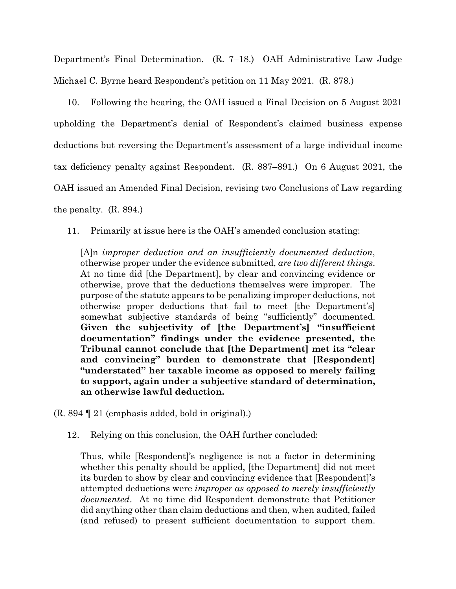Department's Final Determination. (R. 7–18.) OAH Administrative Law Judge Michael C. Byrne heard Respondent's petition on 11 May 2021. (R. 878.)

10. Following the hearing, the OAH issued a Final Decision on 5 August 2021 upholding the Department's denial of Respondent's claimed business expense deductions but reversing the Department's assessment of a large individual income tax deficiency penalty against Respondent. (R. 887–891.) On 6 August 2021, the OAH issued an Amended Final Decision, revising two Conclusions of Law regarding the penalty. (R. 894.)

11. Primarily at issue here is the OAH's amended conclusion stating:

[A]n *improper deduction and an insufficiently documented deduction*, otherwise proper under the evidence submitted, *are two different things*. At no time did [the Department], by clear and convincing evidence or otherwise, prove that the deductions themselves were improper. The purpose of the statute appears to be penalizing improper deductions, not otherwise proper deductions that fail to meet [the Department's] somewhat subjective standards of being "sufficiently" documented. **Given the subjectivity of [the Department's] "insufficient documentation" findings under the evidence presented, the Tribunal cannot conclude that [the Department] met its "clear and convincing" burden to demonstrate that [Respondent] "understated" her taxable income as opposed to merely failing to support, again under a subjective standard of determination, an otherwise lawful deduction.**

(R. 894 ¶ 21 (emphasis added, bold in original).)

12. Relying on this conclusion, the OAH further concluded:

Thus, while [Respondent]'s negligence is not a factor in determining whether this penalty should be applied, [the Department] did not meet its burden to show by clear and convincing evidence that [Respondent]'s attempted deductions were *improper as opposed to merely insufficiently documented*. At no time did Respondent demonstrate that Petitioner did anything other than claim deductions and then, when audited, failed (and refused) to present sufficient documentation to support them.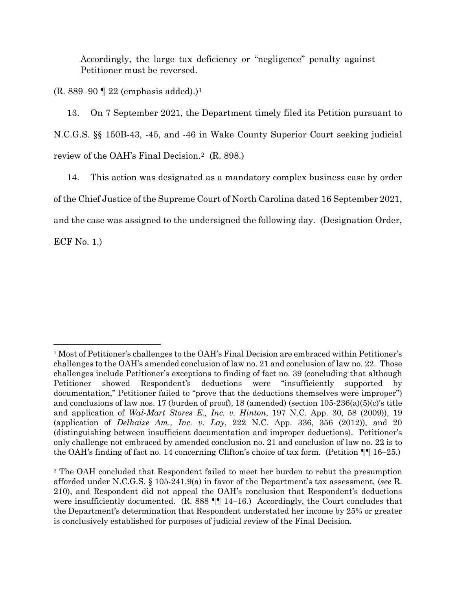Accordingly, the large tax deficiency or "negligence" penalty against Petitioner must be reversed.

 $(R. 889-90 \text{ T} 22 \text{ (emphasis added)}.)$ <sup>[1](#page-4-0)</sup>

13. On 7 September 2021, the Department timely filed its Petition pursuant to N.C.G.S. §§ 150B-43, -45, and -46 in Wake County Superior Court seeking judicial review of the OAH's Final Decision.[2](#page-4-1) (R. 898.)

14. This action was designated as a mandatory complex business case by order of the Chief Justice of the Supreme Court of North Carolina dated 16 September 2021, and the case was assigned to the undersigned the following day. (Designation Order,

ECF No. 1.)

<span id="page-4-0"></span><sup>&</sup>lt;sup>1</sup> Most of Petitioner's challenges to the OAH's Final Decision are embraced within Petitioner's challenges to the OAH's amended conclusion of law no. 21 and conclusion of law no. 22. Those challenges include Petitioner's exceptions to finding of fact no. 39 (concluding that although Petitioner showed Respondent's deductions were "insufficiently supported by documentation," Petitioner failed to "prove that the deductions themselves were improper") and conclusions of law nos. 17 (burden of proof), 18 (amended) (section 105-236(a)(5)(c)'s title and application of *Wal-Mart Stores E., Inc. v. Hinton*, 197 N.C. App. 30, 58 (2009)), 19 (application of *Delhaize Am., Inc. v. Lay*, 222 N.C. App. 336, 356 (2012)), and 20 (distinguishing between insufficient documentation and improper deductions). Petitioner's only challenge not embraced by amended conclusion no. 21 and conclusion of law no. 22 is to the OAH's finding of fact no. 14 concerning Clifton's choice of tax form. (Petition ¶¶ 16–25.)

<span id="page-4-1"></span><sup>2</sup> The OAH concluded that Respondent failed to meet her burden to rebut the presumption afforded under N.C.G.S. § 105-241.9(a) in favor of the Department's tax assessment, (*see* R. 210), and Respondent did not appeal the OAH's conclusion that Respondent's deductions were insufficiently documented. (R. 888  $\P$  $\P$  14–16.) Accordingly, the Court concludes that the Department's determination that Respondent understated her income by 25% or greater is conclusively established for purposes of judicial review of the Final Decision.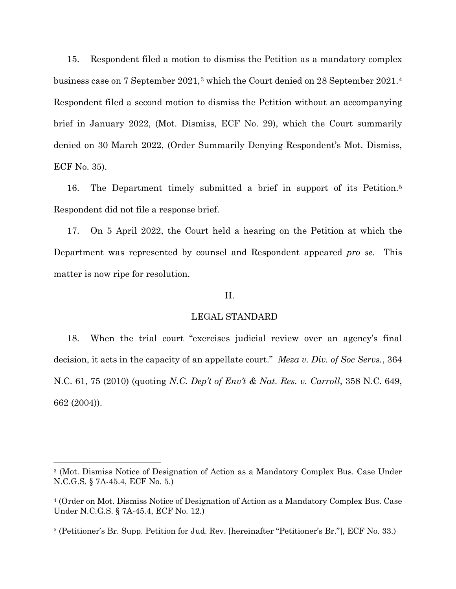15. Respondent filed a motion to dismiss the Petition as a mandatory complex business case on 7 September 2021,[3](#page-5-0) which the Court denied on 28 September 2021.[4](#page-5-1) Respondent filed a second motion to dismiss the Petition without an accompanying brief in January 2022, (Mot. Dismiss, ECF No. 29), which the Court summarily denied on 30 March 2022, (Order Summarily Denying Respondent's Mot. Dismiss, ECF No. 35).

16. The Department timely submitted a brief in support of its Petition.[5](#page-5-2) Respondent did not file a response brief.

17. On 5 April 2022, the Court held a hearing on the Petition at which the Department was represented by counsel and Respondent appeared *pro se*. This matter is now ripe for resolution.

### II.

#### LEGAL STANDARD

18. When the trial court "exercises judicial review over an agency's final decision, it acts in the capacity of an appellate court." *Meza v. Div. of Soc Servs.*, 364 N.C. 61, 75 (2010) (quoting *N.C. Dep't of Env't & Nat. Res. v. Carroll*, 358 N.C. 649, 662 (2004)).

<span id="page-5-0"></span><sup>3</sup> (Mot. Dismiss Notice of Designation of Action as a Mandatory Complex Bus. Case Under N.C.G.S. § 7A-45.4, ECF No. 5.)

<span id="page-5-1"></span><sup>4</sup> (Order on Mot. Dismiss Notice of Designation of Action as a Mandatory Complex Bus. Case Under N.C.G.S. § 7A-45.4, ECF No. 12.)

<span id="page-5-2"></span><sup>5</sup> (Petitioner's Br. Supp. Petition for Jud. Rev. [hereinafter "Petitioner's Br."], ECF No. 33.)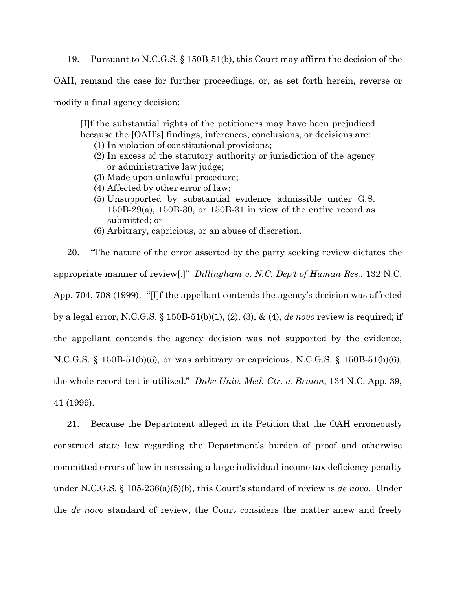19. Pursuant to N.C.G.S. § 150B-51(b), this Court may affirm the decision of the

OAH, remand the case for further proceedings, or, as set forth herein, reverse or

modify a final agency decision:

[I]f the substantial rights of the petitioners may have been prejudiced because the [OAH's] findings, inferences, conclusions, or decisions are:

- (1) In violation of constitutional provisions;
- (2) In excess of the statutory authority or jurisdiction of the agency or administrative law judge;
- (3) Made upon unlawful procedure;
- (4) Affected by other error of law;
- (5) Unsupported by substantial evidence admissible under G.S. 150B-29(a), 150B-30, or 150B-31 in view of the entire record as submitted; or
- (6) Arbitrary, capricious, or an abuse of discretion.

20. "The nature of the error asserted by the party seeking review dictates the appropriate manner of review[.]" *Dillingham v. N.C. Dep't of Human Res.*, 132 N.C. App. 704, 708 (1999). "[I]f the appellant contends the agency's decision was affected by a legal error, N.C.G.S. § 150B-51(b)(1), (2), (3), & (4), *de novo* review is required; if the appellant contends the agency decision was not supported by the evidence, N.C.G.S. § 150B-51(b)(5), or was arbitrary or capricious, N.C.G.S. § 150B-51(b)(6), the whole record test is utilized." *Duke Univ. Med. Ctr. v. Bruton*, 134 N.C. App. 39, 41 (1999).

21. Because the Department alleged in its Petition that the OAH erroneously construed state law regarding the Department's burden of proof and otherwise committed errors of law in assessing a large individual income tax deficiency penalty under N.C.G.S. § 105-236(a)(5)(b), this Court's standard of review is *de novo*. Under the *de novo* standard of review, the Court considers the matter anew and freely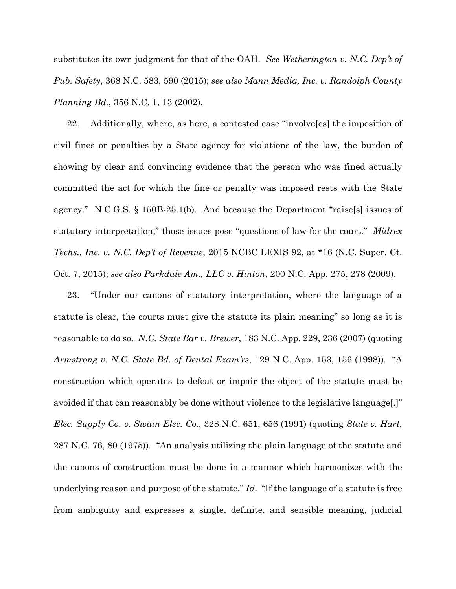substitutes its own judgment for that of the OAH. *See Wetherington v. N.C. Dep't of Pub. Safety*, 368 N.C. 583, 590 (2015); *see also Mann Media, Inc. v. Randolph County Planning Bd.*, 356 N.C. 1, 13 (2002).

22. Additionally, where, as here, a contested case "involve[es] the imposition of civil fines or penalties by a State agency for violations of the law, the burden of showing by clear and convincing evidence that the person who was fined actually committed the act for which the fine or penalty was imposed rests with the State agency." N.C.G.S. § 150B-25.1(b). And because the Department "raise[s] issues of statutory interpretation," those issues pose "questions of law for the court." *Midrex Techs., Inc. v. N.C. Dep't of Revenue*, 2015 NCBC LEXIS 92, at \*16 (N.C. Super. Ct. Oct. 7, 2015); *see also Parkdale Am., LLC v. Hinton*, 200 N.C. App. 275, 278 (2009).

23. "Under our canons of statutory interpretation, where the language of a statute is clear, the courts must give the statute its plain meaning" so long as it is reasonable to do so. *N.C. State Bar v. Brewer*, 183 N.C. App. 229, 236 (2007) (quoting *Armstrong v. N.C. State Bd. of Dental Exam'rs*, 129 N.C. App. 153, 156 (1998)). "A construction which operates to defeat or impair the object of the statute must be avoided if that can reasonably be done without violence to the legislative language[.]" *Elec. Supply Co. v. Swain Elec. Co.*, 328 N.C. 651, 656 (1991) (quoting *State v. Hart*, 287 N.C. 76, 80 (1975)). "An analysis utilizing the plain language of the statute and the canons of construction must be done in a manner which harmonizes with the underlying reason and purpose of the statute." *Id*. "If the language of a statute is free from ambiguity and expresses a single, definite, and sensible meaning, judicial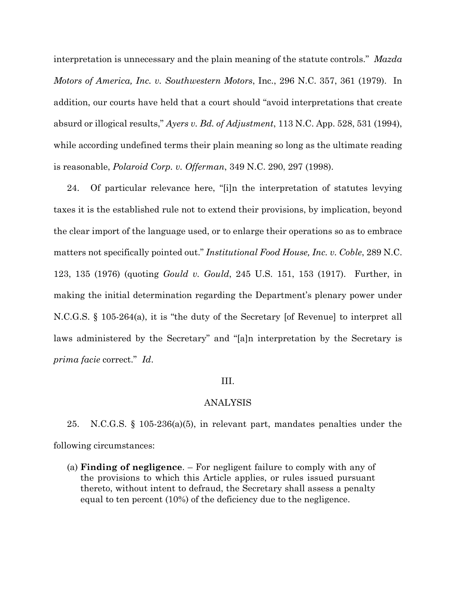interpretation is unnecessary and the plain meaning of the statute controls." *Mazda Motors of America, Inc. v. Southwestern Motors*, Inc., 296 N.C. 357, 361 (1979). In addition, our courts have held that a court should "avoid interpretations that create absurd or illogical results," *Ayers v. Bd. of Adjustment*, 113 N.C. App. 528, 531 (1994), while according undefined terms their plain meaning so long as the ultimate reading is reasonable, *Polaroid Corp. v. Offerman*, 349 N.C. 290, 297 (1998).

24. Of particular relevance here, "[i]n the interpretation of statutes levying taxes it is the established rule not to extend their provisions, by implication, beyond the clear import of the language used, or to enlarge their operations so as to embrace matters not specifically pointed out." *Institutional Food House, Inc. v. Coble*, 289 N.C. 123, 135 (1976) (quoting *Gould v. Gould*, 245 U.S. 151, 153 (1917). Further, in making the initial determination regarding the Department's plenary power under N.C.G.S. § 105-264(a), it is "the duty of the Secretary [of Revenue] to interpret all laws administered by the Secretary" and "[a]n interpretation by the Secretary is *prima facie* correct." *Id*.

#### III.

#### ANALYSIS

25. N.C.G.S. § 105-236(a)(5), in relevant part, mandates penalties under the following circumstances:

(a) **Finding of negligence**. – For negligent failure to comply with any of the provisions to which this Article applies, or rules issued pursuant thereto, without intent to defraud, the Secretary shall assess a penalty equal to ten percent (10%) of the deficiency due to the negligence.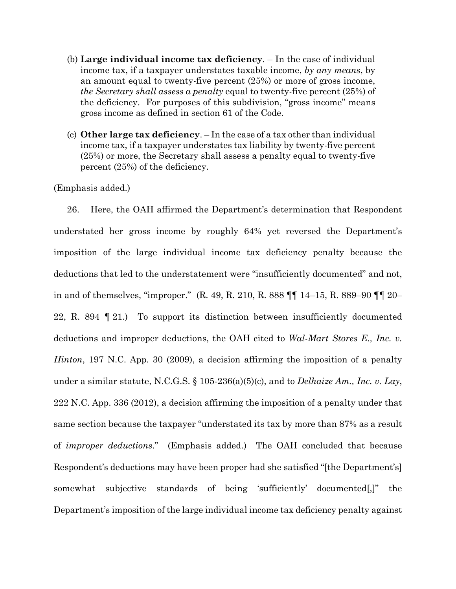- (b) **Large individual income tax deficiency**. In the case of individual income tax, if a taxpayer understates taxable income, *by any means*, by an amount equal to twenty-five percent (25%) or more of gross income, *the Secretary shall assess a penalty* equal to twenty-five percent (25%) of the deficiency. For purposes of this subdivision, "gross income" means gross income as defined in section 61 of the Code.
- (c) **Other large tax deficiency**. In the case of a tax other than individual income tax, if a taxpayer understates tax liability by twenty-five percent (25%) or more, the Secretary shall assess a penalty equal to twenty-five percent (25%) of the deficiency.

(Emphasis added.)

26. Here, the OAH affirmed the Department's determination that Respondent understated her gross income by roughly 64% yet reversed the Department's imposition of the large individual income tax deficiency penalty because the deductions that led to the understatement were "insufficiently documented" and not, in and of themselves, "improper." (R. 49, R. 210, R. 888 ¶¶ 14–15, R. 889–90 ¶¶ 20– 22, R. 894 ¶ 21.) To support its distinction between insufficiently documented deductions and improper deductions, the OAH cited to *Wal-Mart Stores E., Inc. v. Hinton*, 197 N.C. App. 30 (2009), a decision affirming the imposition of a penalty under a similar statute, N.C.G.S. § 105-236(a)(5)(c), and to *Delhaize Am., Inc. v. Lay*, 222 N.C. App. 336 (2012), a decision affirming the imposition of a penalty under that same section because the taxpayer "understated its tax by more than 87% as a result of *improper deductions*." (Emphasis added.) The OAH concluded that because Respondent's deductions may have been proper had she satisfied "[the Department's] somewhat subjective standards of being 'sufficiently' documented[,]" the Department's imposition of the large individual income tax deficiency penalty against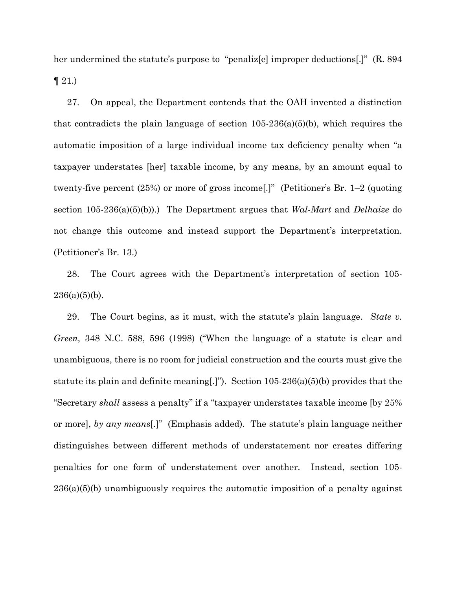her undermined the statute's purpose to "penaliz[e] improper deductions[.]" (R. 894)  $\P$  21.)

27. On appeal, the Department contends that the OAH invented a distinction that contradicts the plain language of section  $105-236(a)(5)(b)$ , which requires the automatic imposition of a large individual income tax deficiency penalty when "a taxpayer understates [her] taxable income, by any means, by an amount equal to twenty-five percent (25%) or more of gross income[.]" (Petitioner's Br. 1–2 (quoting section 105-236(a)(5)(b)).) The Department argues that *Wal-Mart* and *Delhaize* do not change this outcome and instead support the Department's interpretation. (Petitioner's Br. 13.)

28. The Court agrees with the Department's interpretation of section 105-  $236(a)(5)(b)$ .

29. The Court begins, as it must, with the statute's plain language. *State v. Green*, 348 N.C. 588, 596 (1998) ("When the language of a statute is clear and unambiguous, there is no room for judicial construction and the courts must give the statute its plain and definite meaning[.]"). Section 105-236(a)(5)(b) provides that the "Secretary *shall* assess a penalty" if a "taxpayer understates taxable income [by 25% or more], *by any means*[.]" (Emphasis added). The statute's plain language neither distinguishes between different methods of understatement nor creates differing penalties for one form of understatement over another. Instead, section 105- 236(a)(5)(b) unambiguously requires the automatic imposition of a penalty against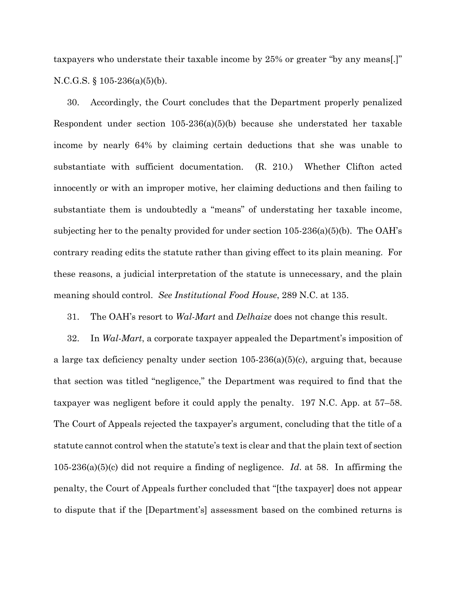taxpayers who understate their taxable income by 25% or greater "by any means[.]" N.C.G.S. § 105-236(a)(5)(b).

30. Accordingly, the Court concludes that the Department properly penalized Respondent under section 105-236(a)(5)(b) because she understated her taxable income by nearly 64% by claiming certain deductions that she was unable to substantiate with sufficient documentation. (R. 210.) Whether Clifton acted innocently or with an improper motive, her claiming deductions and then failing to substantiate them is undoubtedly a "means" of understating her taxable income, subjecting her to the penalty provided for under section  $105-236(a)(5)(b)$ . The OAH's contrary reading edits the statute rather than giving effect to its plain meaning. For these reasons, a judicial interpretation of the statute is unnecessary, and the plain meaning should control. *See Institutional Food House*, 289 N.C. at 135.

31. The OAH's resort to *Wal-Mart* and *Delhaize* does not change this result.

32. In *Wal-Mart*, a corporate taxpayer appealed the Department's imposition of a large tax deficiency penalty under section 105-236(a)(5)(c), arguing that, because that section was titled "negligence," the Department was required to find that the taxpayer was negligent before it could apply the penalty. 197 N.C. App. at 57–58. The Court of Appeals rejected the taxpayer's argument, concluding that the title of a statute cannot control when the statute's text is clear and that the plain text of section 105-236(a)(5)(c) did not require a finding of negligence. *Id*. at 58. In affirming the penalty, the Court of Appeals further concluded that "[the taxpayer] does not appear to dispute that if the [Department's] assessment based on the combined returns is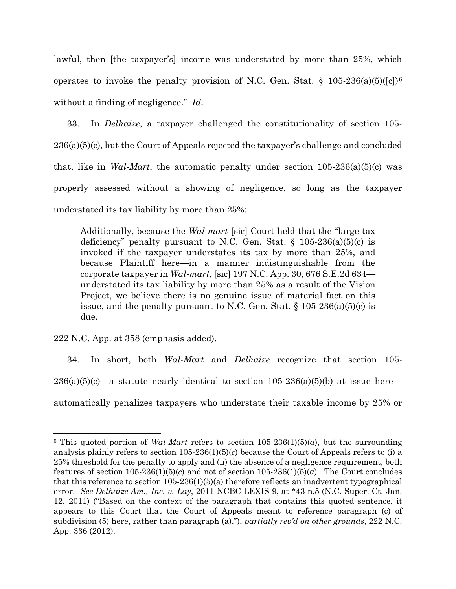lawful, then [the taxpayer's] income was understated by more than 25%, which operates to invoke the penalty provision of N.C. Gen. Stat.  $\S$  105-23[6](#page-12-0)(a)(5)([c])<sup>6</sup> without a finding of negligence." *Id.*

33. In *Delhaize*, a taxpayer challenged the constitutionality of section 105- 236(a)(5)(c), but the Court of Appeals rejected the taxpayer's challenge and concluded that, like in *Wal-Mart*, the automatic penalty under section  $105-236(a)(5)(c)$  was properly assessed without a showing of negligence, so long as the taxpayer understated its tax liability by more than 25%:

Additionally, because the *Wal-mart* [sic] Court held that the "large tax deficiency" penalty pursuant to N.C. Gen. Stat.  $\S$  105-236(a)(5)(c) is invoked if the taxpayer understates its tax by more than 25%, and because Plaintiff here—in a manner indistinguishable from the corporate taxpayer in *Wal-mart*, [sic] 197 N.C. App. 30, 676 S.E.2d 634 understated its tax liability by more than 25% as a result of the Vision Project, we believe there is no genuine issue of material fact on this issue, and the penalty pursuant to N.C. Gen. Stat.  $\S 105-236(a)(5)(c)$  is due.

222 N.C. App. at 358 (emphasis added).

34. In short, both *Wal-Mart* and *Delhaize* recognize that section 105-  $236(a)(5)(c)$ —a statute nearly identical to section  $105-236(a)(5)(b)$  at issue here automatically penalizes taxpayers who understate their taxable income by 25% or

<span id="page-12-0"></span><sup>&</sup>lt;sup>6</sup> This quoted portion of *Wal-Mart* refers to section  $105-236(1)(5)(a)$ , but the surrounding analysis plainly refers to section 105-236(1)(5)(*c*) because the Court of Appeals refers to (i) a 25% threshold for the penalty to apply and (ii) the absence of a negligence requirement, both features of section 105-236(1)(5)(*c*) and not of section 105-236(1)(5)(*a*). The Court concludes that this reference to section  $105-236(1)(5)(a)$  therefore reflects an inadvertent typographical error. *See Delhaize Am., Inc. v. Lay*, 2011 NCBC LEXIS 9, at \*43 n.5 (N.C. Super. Ct. Jan. 12, 2011) ("Based on the context of the paragraph that contains this quoted sentence, it appears to this Court that the Court of Appeals meant to reference paragraph (c) of subdivision (5) here, rather than paragraph (a)."), *partially rev'd on other grounds*, 222 N.C. App. 336 (2012).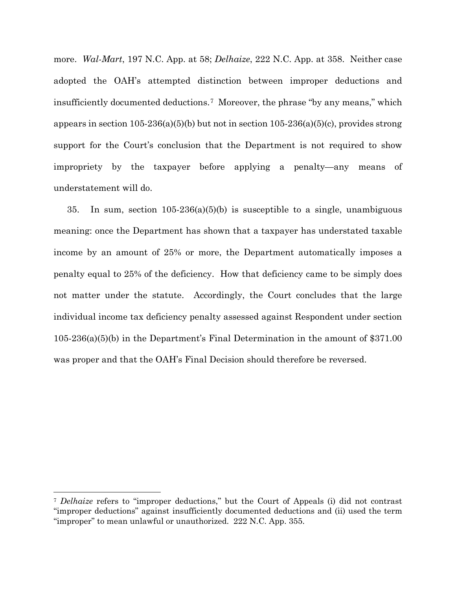more. *Wal-Mart*, 197 N.C. App. at 58; *Delhaize*, 222 N.C. App. at 358. Neither case adopted the OAH's attempted distinction between improper deductions and insufficiently documented deductions.[7](#page-13-0) Moreover, the phrase "by any means," which appears in section  $105-236(a)(5)(b)$  but not in section  $105-236(a)(5)(c)$ , provides strong support for the Court's conclusion that the Department is not required to show impropriety by the taxpayer before applying a penalty—any means of understatement will do.

35. In sum, section  $105-236(a)(5)(b)$  is susceptible to a single, unambiguous meaning: once the Department has shown that a taxpayer has understated taxable income by an amount of 25% or more, the Department automatically imposes a penalty equal to 25% of the deficiency. How that deficiency came to be simply does not matter under the statute. Accordingly, the Court concludes that the large individual income tax deficiency penalty assessed against Respondent under section 105-236(a)(5)(b) in the Department's Final Determination in the amount of \$371.00 was proper and that the OAH's Final Decision should therefore be reversed.

<span id="page-13-0"></span><sup>7</sup> *Delhaize* refers to "improper deductions," but the Court of Appeals (i) did not contrast "improper deductions" against insufficiently documented deductions and (ii) used the term "improper" to mean unlawful or unauthorized. 222 N.C. App. 355.